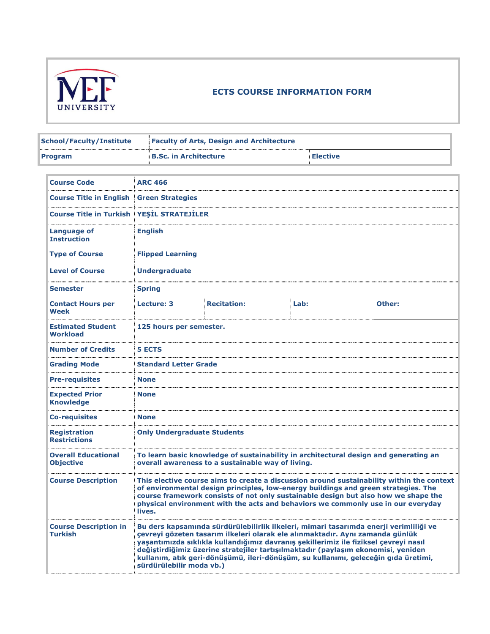

## **ECTS COURSE INFORMATION FORM**

| <b>School/Faculty/Institute</b> | <b>Faculty of Arts, Design and Architecture</b> |                 |
|---------------------------------|-------------------------------------------------|-----------------|
| <b>Program</b>                  | <b>B.Sc. in Architecture</b>                    | <b>Elective</b> |

| <b>Course Code</b>                               | <b>ARC 466</b>                     |                                                                                                                                                                                                                                                                                                                                                                                                                                           |      |                                                                                           |
|--------------------------------------------------|------------------------------------|-------------------------------------------------------------------------------------------------------------------------------------------------------------------------------------------------------------------------------------------------------------------------------------------------------------------------------------------------------------------------------------------------------------------------------------------|------|-------------------------------------------------------------------------------------------|
| <b>Course Title in English Green Strategies</b>  |                                    |                                                                                                                                                                                                                                                                                                                                                                                                                                           |      |                                                                                           |
| <b>Course Title in Turkish YESIL STRATEJILER</b> |                                    |                                                                                                                                                                                                                                                                                                                                                                                                                                           |      |                                                                                           |
| Language of<br><b>Instruction</b>                | <b>English</b>                     |                                                                                                                                                                                                                                                                                                                                                                                                                                           |      |                                                                                           |
| <b>Type of Course</b>                            | <b>Flipped Learning</b>            |                                                                                                                                                                                                                                                                                                                                                                                                                                           |      |                                                                                           |
| <b>Level of Course</b>                           | <b>Undergraduate</b>               |                                                                                                                                                                                                                                                                                                                                                                                                                                           |      |                                                                                           |
| <b>Semester</b>                                  | <b>Spring</b>                      |                                                                                                                                                                                                                                                                                                                                                                                                                                           |      |                                                                                           |
| <b>Contact Hours per</b><br><b>Week</b>          | <b>Lecture: 3</b>                  | <b>Recitation:</b>                                                                                                                                                                                                                                                                                                                                                                                                                        | Lab: | Other:                                                                                    |
| <b>Estimated Student</b><br><b>Workload</b>      | 125 hours per semester.            |                                                                                                                                                                                                                                                                                                                                                                                                                                           |      |                                                                                           |
| <b>Number of Credits</b>                         | <b>5 ECTS</b>                      |                                                                                                                                                                                                                                                                                                                                                                                                                                           |      |                                                                                           |
| <b>Grading Mode</b>                              | <b>Standard Letter Grade</b>       |                                                                                                                                                                                                                                                                                                                                                                                                                                           |      |                                                                                           |
| <b>Pre-requisites</b>                            | <b>None</b>                        |                                                                                                                                                                                                                                                                                                                                                                                                                                           |      |                                                                                           |
| <b>Expected Prior</b><br><b>Knowledge</b>        | <b>None</b>                        |                                                                                                                                                                                                                                                                                                                                                                                                                                           |      |                                                                                           |
| <b>Co-requisites</b>                             | <b>None</b>                        |                                                                                                                                                                                                                                                                                                                                                                                                                                           |      |                                                                                           |
| <b>Registration</b><br><b>Restrictions</b>       | <b>Only Undergraduate Students</b> |                                                                                                                                                                                                                                                                                                                                                                                                                                           |      |                                                                                           |
| <b>Overall Educational</b><br><b>Objective</b>   |                                    | To learn basic knowledge of sustainability in architectural design and generating an<br>overall awareness to a sustainable way of living.                                                                                                                                                                                                                                                                                                 |      |                                                                                           |
| <b>Course Description</b>                        | lives.                             | of environmental design principles, low-energy buildings and green strategies. The<br>course framework consists of not only sustainable design but also how we shape the<br>physical environment with the acts and behaviors we commonly use in our everyday                                                                                                                                                                              |      | This elective course aims to create a discussion around sustainability within the context |
| <b>Course Description in</b><br><b>Turkish</b>   | sürdürülebilir moda vb.)           | Bu ders kapsamında sürdürülebilirlik ilkeleri, mimari tasarımda enerji verimliliği ve<br>cevreyi gözeten tasarım ilkeleri olarak ele alınmaktadır. Aynı zamanda günlük<br>yaşantımızda sıklıkla kullandığımız davranış şekillerimiz ile fiziksel çevreyi nasıl<br>değiştirdiğimiz üzerine stratejiler tartışılmaktadır (paylaşım ekonomisi, yeniden<br>kullanım, atık geri-dönüşümü, ileri-dönüşüm, su kullanımı, geleceğin gıda üretimi, |      |                                                                                           |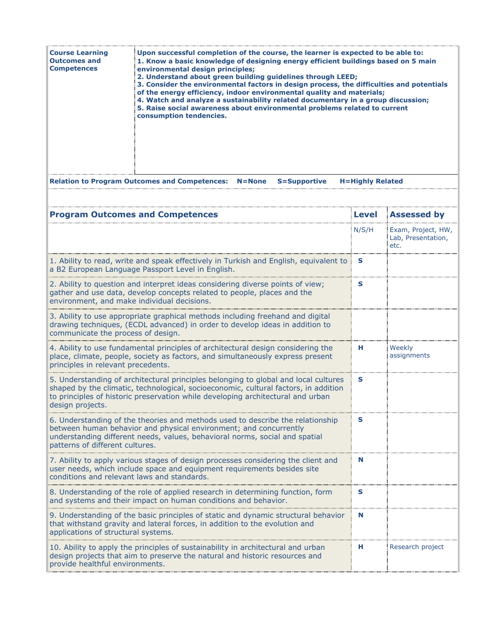| <b>Course Learning</b><br><b>Outcomes and</b><br><b>Competences</b> | : Upon successful completion of the course, the learner is expected to be able to:<br>1. Know a basic knowledge of designing energy efficient buildings based on 5 main<br>environmental design principles;<br>2. Understand about green building guidelines through LEED;<br>3. Consider the environmental factors in design process, the difficulties and potentials<br>of the energy efficiency, indoor environmental quality and materials;<br>4. Watch and analyze a sustainability related documentary in a group discussion;<br>5. Raise social awareness about environmental problems related to current<br>consumption tendencies. |
|---------------------------------------------------------------------|---------------------------------------------------------------------------------------------------------------------------------------------------------------------------------------------------------------------------------------------------------------------------------------------------------------------------------------------------------------------------------------------------------------------------------------------------------------------------------------------------------------------------------------------------------------------------------------------------------------------------------------------|
|                                                                     | <b>Relation to Program Outcomes and Competences: N=None</b><br><b>H=Highly Related</b><br><b>S=Supportive</b>                                                                                                                                                                                                                                                                                                                                                                                                                                                                                                                               |

| <b>Program Outcomes and Competences</b>                                                                                                                                                                                                                                           | <b>Level</b> | <b>Assessed by</b>                               |
|-----------------------------------------------------------------------------------------------------------------------------------------------------------------------------------------------------------------------------------------------------------------------------------|--------------|--------------------------------------------------|
|                                                                                                                                                                                                                                                                                   | N/S/H        | Exam, Project, HW,<br>Lab, Presentation,<br>etc. |
| 1. Ability to read, write and speak effectively in Turkish and English, equivalent to<br>a B2 European Language Passport Level in English.                                                                                                                                        | S            |                                                  |
| 2. Ability to question and interpret ideas considering diverse points of view;<br>gather and use data, develop concepts related to people, places and the<br>environment, and make individual decisions.                                                                          | S            |                                                  |
| 3. Ability to use appropriate graphical methods including freehand and digital<br>drawing techniques, (ECDL advanced) in order to develop ideas in addition to<br>communicate the process of design.                                                                              |              |                                                  |
| 4. Ability to use fundamental principles of architectural design considering the<br>place, climate, people, society as factors, and simultaneously express present<br>principles in relevant precedents.                                                                          | н.           | Weekly<br>assignments                            |
| 5. Understanding of architectural principles belonging to global and local cultures<br>shaped by the climatic, technological, socioeconomic, cultural factors, in addition<br>to principles of historic preservation while developing architectural and urban<br>design projects. | S            |                                                  |
| 6. Understanding of the theories and methods used to describe the relationship<br>between human behavior and physical environment; and concurrently<br>understanding different needs, values, behavioral norms, social and spatial<br>patterns of different cultures.             | S            |                                                  |
| 7. Ability to apply various stages of design processes considering the client and<br>user needs, which include space and equipment requirements besides site<br>conditions and relevant laws and standards.                                                                       | N            |                                                  |
| 8. Understanding of the role of applied research in determining function, form<br>and systems and their impact on human conditions and behavior.                                                                                                                                  | S            |                                                  |
| 9. Understanding of the basic principles of static and dynamic structural behavior<br>that withstand gravity and lateral forces, in addition to the evolution and<br>applications of structural systems.                                                                          | N            |                                                  |
| 10. Ability to apply the principles of sustainability in architectural and urban<br>design projects that aim to preserve the natural and historic resources and<br>provide healthful environments.                                                                                | н            | Research project                                 |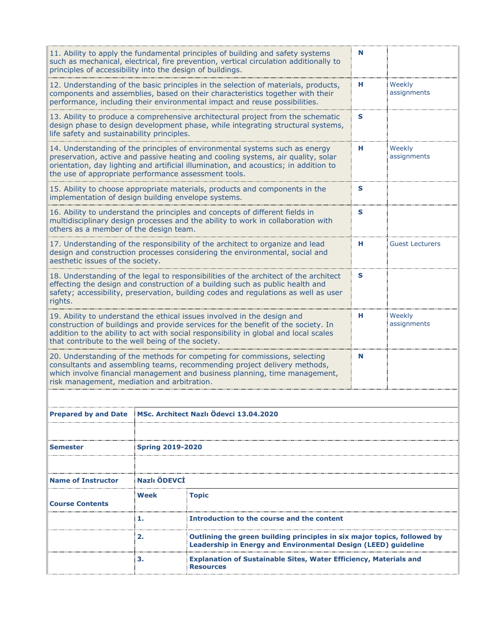| principles of accessibility into the design of buildings. |                         | 11. Ability to apply the fundamental principles of building and safety systems<br>such as mechanical, electrical, fire prevention, vertical circulation additionally to                                                                                      | N  |                        |
|-----------------------------------------------------------|-------------------------|--------------------------------------------------------------------------------------------------------------------------------------------------------------------------------------------------------------------------------------------------------------|----|------------------------|
|                                                           |                         | 12. Understanding of the basic principles in the selection of materials, products,<br>components and assemblies, based on their characteristics together with their<br>performance, including their environmental impact and reuse possibilities.            | н. | Weekly<br>assignments  |
| life safety and sustainability principles.                |                         | 13. Ability to produce a comprehensive architectural project from the schematic<br>design phase to design development phase, while integrating structural systems,                                                                                           | S  |                        |
| the use of appropriate performance assessment tools.      |                         | 14. Understanding of the principles of environmental systems such as energy<br>preservation, active and passive heating and cooling systems, air quality, solar<br>orientation, day lighting and artificial illumination, and acoustics; in addition to      | н  | Weekly<br>assignments  |
| implementation of design building envelope systems.       |                         | 15. Ability to choose appropriate materials, products and components in the                                                                                                                                                                                  | S  |                        |
| others as a member of the design team.                    |                         | 16. Ability to understand the principles and concepts of different fields in<br>multidisciplinary design processes and the ability to work in collaboration with                                                                                             | S  |                        |
| aesthetic issues of the society.                          |                         | 17. Understanding of the responsibility of the architect to organize and lead<br>design and construction processes considering the environmental, social and                                                                                                 | н. | <b>Guest Lecturers</b> |
| rights.                                                   |                         | 18. Understanding of the legal to responsibilities of the architect of the architect<br>effecting the design and construction of a building such as public health and<br>safety; accessibility, preservation, building codes and regulations as well as user | S  |                        |
| that contribute to the well being of the society.         |                         | 19. Ability to understand the ethical issues involved in the design and<br>construction of buildings and provide services for the benefit of the society. In<br>addition to the ability to act with social responsibility in global and local scales         | н  | Weekly<br>assignments  |
| risk management, mediation and arbitration.               |                         | 20. Understanding of the methods for competing for commissions, selecting<br>consultants and assembling teams, recommending project delivery methods,<br>which involve financial management and business planning, time management,                          | N  |                        |
|                                                           |                         |                                                                                                                                                                                                                                                              |    |                        |
| <b>Prepared by and Date</b>                               |                         | MSc. Architect Nazlı Ödevci 13.04.2020                                                                                                                                                                                                                       |    |                        |
|                                                           |                         |                                                                                                                                                                                                                                                              |    |                        |
| Semester                                                  | <b>Spring 2019-2020</b> |                                                                                                                                                                                                                                                              |    |                        |
|                                                           |                         |                                                                                                                                                                                                                                                              |    |                        |
| <b>Name of Instructor</b>                                 | Nazlı ÖDEVCİ            |                                                                                                                                                                                                                                                              |    |                        |
| <b>Course Contents</b>                                    | Week                    | <b>Topic</b>                                                                                                                                                                                                                                                 |    |                        |
|                                                           | 1.                      | <b>Introduction to the course and the content</b>                                                                                                                                                                                                            |    |                        |
|                                                           | 2.                      | Outlining the green building principles in six major topics, followed by<br>Leadership in Energy and Environmental Design (LEED) guideline                                                                                                                   |    |                        |
|                                                           | з.                      | <b>Explanation of Sustainable Sites, Water Efficiency, Materials and</b><br><b>Resources</b>                                                                                                                                                                 |    |                        |
|                                                           |                         |                                                                                                                                                                                                                                                              |    |                        |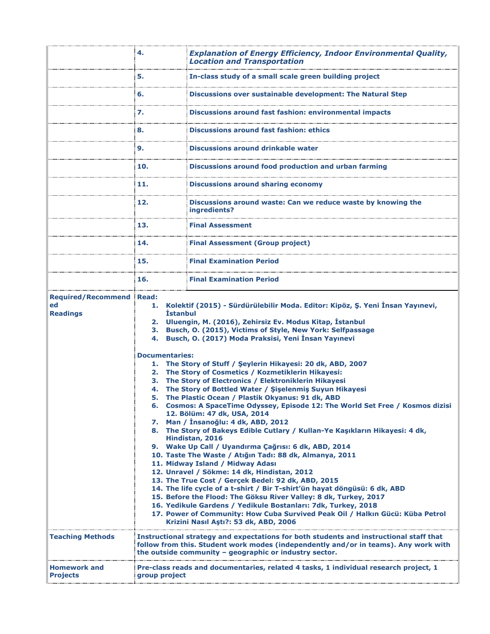|                                                    | 4.                                                                   | <b>Explanation of Energy Efficiency, Indoor Environmental Quality,</b><br><b>Location and Transportation</b>                                                                                                                                                                                                                                                                                                                                                                                                                                                                                                                                                                                                                                                                                                                                                                                                                                                                                                                                                                                                                                                                                                                                                                                                                                                                                                                             |
|----------------------------------------------------|----------------------------------------------------------------------|------------------------------------------------------------------------------------------------------------------------------------------------------------------------------------------------------------------------------------------------------------------------------------------------------------------------------------------------------------------------------------------------------------------------------------------------------------------------------------------------------------------------------------------------------------------------------------------------------------------------------------------------------------------------------------------------------------------------------------------------------------------------------------------------------------------------------------------------------------------------------------------------------------------------------------------------------------------------------------------------------------------------------------------------------------------------------------------------------------------------------------------------------------------------------------------------------------------------------------------------------------------------------------------------------------------------------------------------------------------------------------------------------------------------------------------|
|                                                    | 5.                                                                   | In-class study of a small scale green building project                                                                                                                                                                                                                                                                                                                                                                                                                                                                                                                                                                                                                                                                                                                                                                                                                                                                                                                                                                                                                                                                                                                                                                                                                                                                                                                                                                                   |
|                                                    | 6.                                                                   | Discussions over sustainable development: The Natural Step                                                                                                                                                                                                                                                                                                                                                                                                                                                                                                                                                                                                                                                                                                                                                                                                                                                                                                                                                                                                                                                                                                                                                                                                                                                                                                                                                                               |
|                                                    | 7.                                                                   | Discussions around fast fashion: environmental impacts                                                                                                                                                                                                                                                                                                                                                                                                                                                                                                                                                                                                                                                                                                                                                                                                                                                                                                                                                                                                                                                                                                                                                                                                                                                                                                                                                                                   |
|                                                    | 8.                                                                   | Discussions around fast fashion: ethics                                                                                                                                                                                                                                                                                                                                                                                                                                                                                                                                                                                                                                                                                                                                                                                                                                                                                                                                                                                                                                                                                                                                                                                                                                                                                                                                                                                                  |
|                                                    | 9.                                                                   | Discussions around drinkable water                                                                                                                                                                                                                                                                                                                                                                                                                                                                                                                                                                                                                                                                                                                                                                                                                                                                                                                                                                                                                                                                                                                                                                                                                                                                                                                                                                                                       |
|                                                    | 10.                                                                  | Discussions around food production and urban farming                                                                                                                                                                                                                                                                                                                                                                                                                                                                                                                                                                                                                                                                                                                                                                                                                                                                                                                                                                                                                                                                                                                                                                                                                                                                                                                                                                                     |
|                                                    | 11.                                                                  | <b>Discussions around sharing economy</b>                                                                                                                                                                                                                                                                                                                                                                                                                                                                                                                                                                                                                                                                                                                                                                                                                                                                                                                                                                                                                                                                                                                                                                                                                                                                                                                                                                                                |
|                                                    | 12.                                                                  | Discussions around waste: Can we reduce waste by knowing the<br>ingredients?                                                                                                                                                                                                                                                                                                                                                                                                                                                                                                                                                                                                                                                                                                                                                                                                                                                                                                                                                                                                                                                                                                                                                                                                                                                                                                                                                             |
|                                                    | 13.                                                                  | <b>Final Assessment</b>                                                                                                                                                                                                                                                                                                                                                                                                                                                                                                                                                                                                                                                                                                                                                                                                                                                                                                                                                                                                                                                                                                                                                                                                                                                                                                                                                                                                                  |
|                                                    | 14.                                                                  | <b>Final Assessment (Group project)</b>                                                                                                                                                                                                                                                                                                                                                                                                                                                                                                                                                                                                                                                                                                                                                                                                                                                                                                                                                                                                                                                                                                                                                                                                                                                                                                                                                                                                  |
|                                                    | 15.                                                                  | <b>Final Examination Period</b>                                                                                                                                                                                                                                                                                                                                                                                                                                                                                                                                                                                                                                                                                                                                                                                                                                                                                                                                                                                                                                                                                                                                                                                                                                                                                                                                                                                                          |
|                                                    | 16.                                                                  | <b>Final Examination Period</b>                                                                                                                                                                                                                                                                                                                                                                                                                                                                                                                                                                                                                                                                                                                                                                                                                                                                                                                                                                                                                                                                                                                                                                                                                                                                                                                                                                                                          |
| <b>Required/Recommend</b><br>ed<br><b>Readings</b> | <b>Read:</b><br><b>İstanbul</b><br>3.<br>4.<br><b>Documentaries:</b> | 1. Kolektif (2015) - Sürdürülebilir Moda. Editor: Kipöz, Ş. Yeni İnsan Yayınevi,<br>2. Uluengin, M. (2016), Zehirsiz Ev. Modus Kitap, İstanbul<br>Busch, O. (2015), Victims of Style, New York: Selfpassage<br>Busch, O. (2017) Moda Praksisi, Yeni İnsan Yayınevi<br>1. The Story of Stuff / Şeylerin Hikayesi: 20 dk, ABD, 2007<br>2. The Story of Cosmetics / Kozmetiklerin Hikayesi:<br>3. The Story of Electronics / Elektroniklerin Hikayesi<br>4. The Story of Bottled Water / Siselenmis Suyun Hikayesi<br>5. The Plastic Ocean / Plastik Okyanus: 91 dk, ABD<br>6. Cosmos: A SpaceTime Odyssey, Episode 12: The World Set Free / Kosmos dizisi<br>12. Bölüm: 47 dk, USA, 2014<br>7. Man / İnsanoğlu: 4 dk, ABD, 2012<br>8. The Story of Bakeys Edible Cutlary / Kullan-Ye Kaşıkların Hikayesi: 4 dk,<br>Hindistan, 2016<br>9. Wake Up Call / Uyandırma Çağrısı: 6 dk, ABD, 2014<br>10. Taste The Waste / Atığın Tadı: 88 dk, Almanya, 2011<br>11. Midway Island / Midway Adası<br>12. Unravel / Sökme: 14 dk, Hindistan, 2012<br>13. The True Cost / Gerçek Bedel: 92 dk, ABD, 2015<br>14. The life cycle of a t-shirt / Bir T-shirt'ün hayat döngüsü: 6 dk, ABD<br>15. Before the Flood: The Göksu River Valley: 8 dk, Turkey, 2017<br>16. Yedikule Gardens / Yedikule Bostanları: 7dk, Turkey, 2018<br>17. Power of Community: How Cuba Survived Peak Oil / Halkın Gücü: Küba Petrol<br>Krizini Nasıl Aştı?: 53 dk, ABD, 2006 |
| <b>Teaching Methods</b>                            |                                                                      | Instructional strategy and expectations for both students and instructional staff that<br>follow from this. Student work modes (independently and/or in teams). Any work with<br>the outside community - geographic or industry sector.                                                                                                                                                                                                                                                                                                                                                                                                                                                                                                                                                                                                                                                                                                                                                                                                                                                                                                                                                                                                                                                                                                                                                                                                  |
| <b>Homework and</b><br><b>Projects</b>             | group project                                                        | Pre-class reads and documentaries, related 4 tasks, 1 individual research project, 1                                                                                                                                                                                                                                                                                                                                                                                                                                                                                                                                                                                                                                                                                                                                                                                                                                                                                                                                                                                                                                                                                                                                                                                                                                                                                                                                                     |